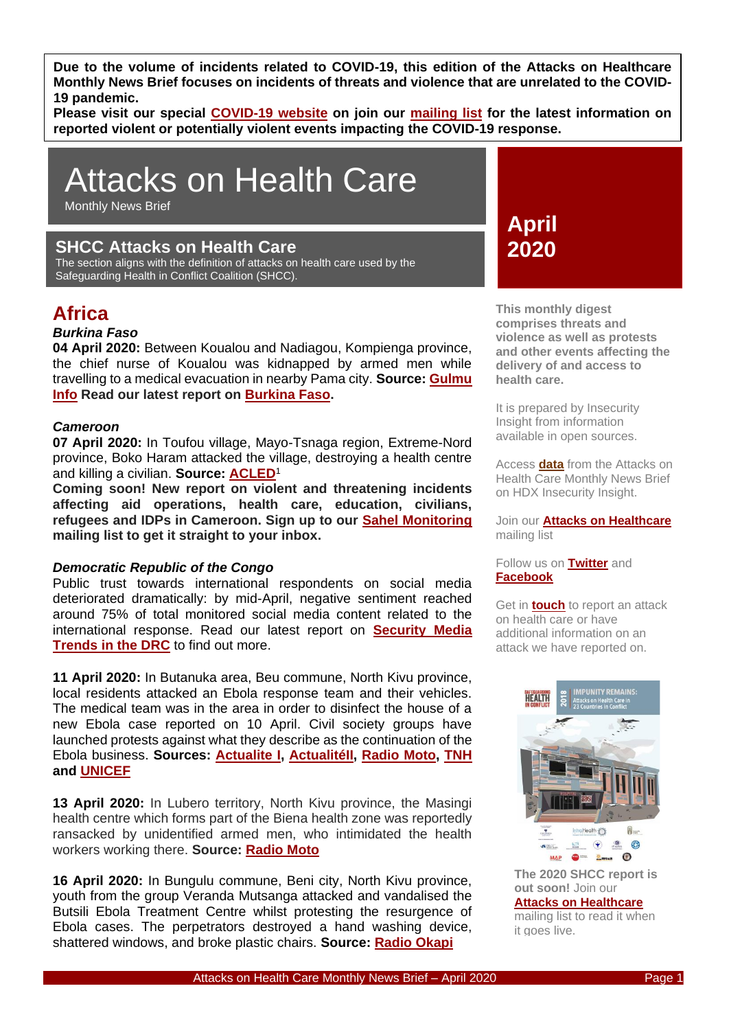**Due to the volume of incidents related to COVID-19, this edition of the Attacks on Healthcare Monthly News Brief focuses on incidents of threats and violence that are unrelated to the COVID-19 pandemic.** 

**Please visit our special [COVID-19 website](http://insecurityinsight.org/projects/aid-in-danger/aid-security-and-covid-19) on join our [mailing list](http://eepurl.com/gPFd0v) for the latest information on reported violent or potentially violent events impacting the COVID-19 response.**

# Attacks on Health Care

Monthly News Brief

## **SHCC Attacks on Health Care**

The section aligns with the definition of attacks on health care used by the Safeguarding Health in Conflict Coalition (SHCC).

# **Africa**

## *Burkina Faso*

**04 April 2020:** Between Koualou and Nadiagou, Kompienga province, the chief nurse of Koualou was kidnapped by armed men while travelling to a medical evacuation in nearby Pama city. **Source: [Gulmu](https://gulmu.info/pama-linfirmier-major-de-koualou-enleve-par-des-hommes-armes/)  [Info](https://gulmu.info/pama-linfirmier-major-de-koualou-enleve-par-des-hommes-armes/) Read our latest report on [Burkina Faso.](https://bit.ly/3aTir2w)**

### *Cameroon*

**07 April 2020:** In Toufou village, Mayo-Tsnaga region, Extreme-Nord province, Boko Haram attacked the village, destroying a health centre and killing a civilian. **Source: [ACLED](https://acleddata.com/data-export-tool/)**<sup>1</sup>

**Coming soon! New report on violent and threatening incidents affecting aid operations, health care, education, civilians, refugees and IDPs in Cameroon. Sign up to our [Sahel Monitoring](https://insecurityinsight.us12.list-manage.com/track/click?u=6ca1f5d2d10a8ab5e9333c51f&id=e0e25a672a&e=4b5ade5e34) mailing list to get it straight to your inbox.**

#### *Democratic Republic of the Congo*

Public trust towards international respondents on social media deteriorated dramatically: by mid-April, negative sentiment reached around 75% of total monitored social media content related to the international response. Read our latest report on **[Security Media](https://bit.ly/3eYXGVS)  [Trends in the DRC](https://bit.ly/3eYXGVS)** to find out more.

**11 April 2020:** In Butanuka area, Beu commune, North Kivu province, local residents attacked an Ebola response team and their vehicles. The medical team was in the area in order to disinfect the house of a new Ebola case reported on 10 April. Civil society groups have launched protests against what they describe as the continuation of the Ebola business. **Sources: [Actualite I,](https://actualite.cd/2020/04/11/ebola-beni-une-equipe-de-la-riposte-attaquee-par-un-groupe-de-jeunes-le-maire-adjoint) [ActualitéII,](https://actualite.cd/2020/04/16/beni-ebola-des-barricades-dans-les-rues-de-beni-pour-protester-contre-la-reapparition-de) [Radio Moto,](http://www.radiomoto.net/2020/04/16/beni-la-resurgence-controversee-de-cas-ebola-a-la-base-dune-paralysie-des-activites-socioeconomiques/) [TNH](https://www.thenewhumanitarian.org/news/2020/04/17/China-coronavirus-Ebola-indigenous-Brazil-cheat-sheet) and [UNICEF](https://reliefweb.int/report/democratic-republic-congo/unicef-dr-congo-ebola-situation-report-58-north-kivu-ituri-and-0)**

**13 April 2020:** In Lubero territory, North Kivu province, the Masingi health centre which forms part of the Biena health zone was reportedly ransacked by unidentified armed men, who intimidated the health workers working there. **Source: [Radio Moto](http://www.radiomoto.net/2020/04/17/lubero-le-centre-de-sante-de-masingi-de-nouveau-vandalise-par-des-porteurs-darmes/)**

**16 April 2020:** In Bungulu commune, Beni city, North Kivu province, youth from the group Veranda Mutsanga attacked and vandalised the Butsili Ebola Treatment Centre whilst protesting the resurgence of Ebola cases. The perpetrators destroyed a hand washing device, shattered windows, and broke plastic chairs. **Source: [Radio Okapi](https://www.radiookapi.net/2020/04/17/actualite/societe/nord-kivu-trois-centres-de-traitement-debola-vandalises-beni)**

**April 2020**

**This monthly digest comprises threats and violence as well as protests and other events affecting the delivery of and access to health care.** 

It is prepared by Insecurity Insight from information available in open sources.

Access **[data](https://data.humdata.org/dataset/sind-safeguarding-healthcare-monthly-news-briefs-dataset)** from the Attacks on Health Care Monthly News Brief on HDX Insecurity Insight.

Join our **[Attacks on Healthcare](http://eepurl.com/gPFd0v)** mailing list

#### Follow us on **[Twitter](https://twitter.com/InsecurityInsig)** and **[Facebook](https://www.facebook.com/InsecInsight/)**

Get in **[touch](mailto:reports@insecurityinsight.org?subject=Attacks%20on%20Health%20care)** to report an attack on health care or have additional information on an attack we have reported on.



**The 2020 SHCC report is out soon!** Join our **[Attacks on Healthcare](http://eepurl.com/gPFd0v)** mailing list to read it when it goes live.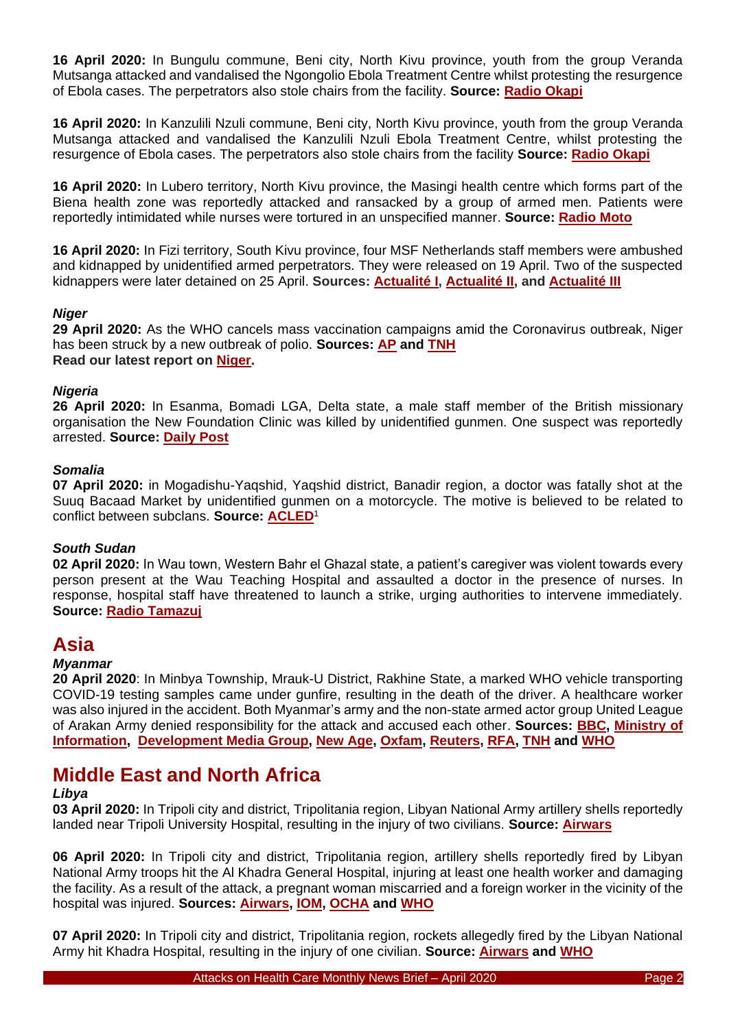**16 April 2020:** In Bungulu commune, Beni city, North Kivu province, youth from the group Veranda Mutsanga attacked and vandalised the Ngongolio Ebola Treatment Centre whilst protesting the resurgence of Ebola cases. The perpetrators also stole chairs from the facility. **Source: [Radio Okapi](https://www.radiookapi.net/2020/04/17/actualite/societe/nord-kivu-trois-centres-de-traitement-debola-vandalises-beni)**

**16 April 2020:** In Kanzulili Nzuli commune, Beni city, North Kivu province, youth from the group Veranda Mutsanga attacked and vandalised the Kanzulili Nzuli Ebola Treatment Centre, whilst protesting the resurgence of Ebola cases. The perpetrators also stole chairs from the facility **Source: [Radio Okapi](https://www.radiookapi.net/2020/04/17/actualite/societe/nord-kivu-trois-centres-de-traitement-debola-vandalises-beni)**

**16 April 2020:** In Lubero territory, North Kivu province, the Masingi health centre which forms part of the Biena health zone was reportedly attacked and ransacked by a group of armed men. Patients were reportedly intimidated while nurses were tortured in an unspecified manner. **Source: [Radio Moto](http://www.radiomoto.net/2020/04/17/lubero-le-centre-de-sante-de-masingi-de-nouveau-vandalise-par-des-porteurs-darmes/)**

**16 April 2020:** In Fizi territory, South Kivu province, four MSF Netherlands staff members were ambushed and kidnapped by unidentified armed perpetrators. They were released on 19 April. Two of the suspected kidnappers were later detained on 25 April. **Sources: [Actualité](https://actualite.cd/2020/04/17/rdc-4-agents-de-msf-kidnappes-fizi-au-sud-kivu) I, [Actualité II,](https://actualite.cd/2020/04/19/rdc-les-4-agents-msf-liberes-apres-4-jours-dans-la-brousse-fizi) and [Actualité III](https://actualite.cd/2020/04/26/rdc-fizi-deux-de-trois-presumes-kidnappeurs-des-agents-de-msf-arretes-baraka)**

## *Niger*

**29 April 2020:** As the WHO cancels mass vaccination campaigns amid the Coronavirus outbreak, Niger has been struck by a new outbreak of polio. **Sources: [AP](https://apnews.com/f0e64c8b63dbf2a25be0c1eda6bf0f69) and [TNH](https://www.thenewhumanitarian.org/news/2020/05/07/coronavirus-humanitarian-aid-response) Read our latest report on [Niger.](https://insecurityinsight.us12.list-manage.com/track/click?u=6ca1f5d2d10a8ab5e9333c51f&id=2a6f8b1295&e=4b5ade5e34)**

## *Nigeria*

**26 April 2020:** In Esanma, Bomadi LGA, Delta state, a male staff member of the British missionary organisation the New Foundation Clinic was killed by unidentified gunmen. One suspect was reportedly arrested. **Source: [Daily Post](https://dailypost.ng/2020/04/27/gunmen-kill-staff-of-missionary-clinic-in-delta/)**

## *Somalia*

**07 April 2020:** in Mogadishu-Yaqshid, Yaqshid district, Banadir region, a doctor was fatally shot at the Suuq Bacaad Market by unidentified gunmen on a motorcycle. The motive is believed to be related to conflict between subclans. **Source: [ACLED](https://acleddata.com/#/dashboard)**<sup>1</sup>

## *South Sudan*

**02 April 2020:** In Wau town, Western Bahr el Ghazal state, a patient's caregiver was violent towards every person present at the Wau Teaching Hospital and assaulted a doctor in the presence of nurses. In response, hospital staff have threatened to launch a strike, urging authorities to intervene immediately. **Source: [Radio Tamazuj](https://radiotamazuj.org/en/news/article/wau-health-workers-threaten-strike-after-caregiver-beats-up-doctor)**

## **Asia**

## *Myanmar*

**20 April 2020**: In Minbya Township, Mrauk-U District, Rakhine State, a marked WHO vehicle transporting COVID-19 testing samples came under gunfire, resulting in the death of the driver. A healthcare worker was also injured in the accident. Both Myanmar's army and the non-state armed actor group United League of Arakan Army denied responsibility for the attack and accused each other. **Sources: [BBC,](https://www.bbc.com/news/world-asia-52366811) [Ministry of](https://www.moi.gov.mm/moi:eng/?q=news/21/04/2020/id-21440)  [Information,](https://www.moi.gov.mm/moi:eng/?q=news/21/04/2020/id-21440) [Development Media Group,](https://www.dmediag.com/news/1410-govt-pde-who?fbclid=IwAR1HxqOM52Q09WaBuV4sYU5PpdNuQI-dZKZ-uOnI4UhSiCuFVmLsN6FxRCA) [New Age,](https://www.newagebd.net/article/104861/driver-killed-in-attack-on-un-vehicle-in-rakhine) [Oxfam,](https://www.oxfam.org/en/press-releases/myanmar-16-agencies-express-extreme-concern-after-death-aid-worker-transporting) [Reuters,](https://www.reuters.com/article/us-health-coronavirus-myanmar-rakhine/driver-killed-in-who-vehicle-carrying-virus-swabs-in-myanmars-rakhine-idUSKBN22315L) [RFA,](https://www.rfa.org/english/news/myanmar/who-driver-04212020184629.html?searchterm:utf8:ustring=%20aid) [TNH](https://www.thenewhumanitarian.org/news/2020/05/07/coronavirus-humanitarian-aid-response) and [WHO](https://www.bbc.com/news/world-asia-52366811)**

# **Middle East and North Africa**

## *Libya*

**03 April 2020:** In Tripoli city and district, Tripolitania region, Libyan National Army artillery shells reportedly landed near Tripoli University Hospital, resulting in the injury of two civilians. **Source: [Airwars](https://airwars.org/civilian-casualties/lc334-april-3-2020/)**

**06 April 2020:** In Tripoli city and district, Tripolitania region, artillery shells reportedly fired by Libyan National Army troops hit the Al Khadra General Hospital, injuring at least one health worker and damaging the facility. As a result of the attack, a pregnant woman miscarried and a foreign worker in the vicinity of the hospital was injured. **Sources: [Airwars,](https://airwars.org/civilian-casualties/lc336-april-6-2020/) [IOM,](https://www.iom.int/news/over-200000-libyans-displaced-amid-fighting-covid-19-threat-increases) [OCHA](https://reliefweb.int/report/libya/statement-humanitarian-coordinator-libya-yacoub-el-hillo-following-today-s-attack-al) and [WHO](https://reliefweb.int/sites/reliefweb.int/files/resources/health_sector_bulletin_april_2020.pdf)**

**07 April 2020:** In Tripoli city and district, Tripolitania region, rockets allegedly fired by the Libyan National Army hit Khadra Hospital, resulting in the injury of one civilian. **Source: [Airwars](https://airwars.org/civilian-casualties/lc338-april-7-2020/) and [WHO](https://reliefweb.int/sites/reliefweb.int/files/resources/health_sector_bulletin_april_2020.pdf)**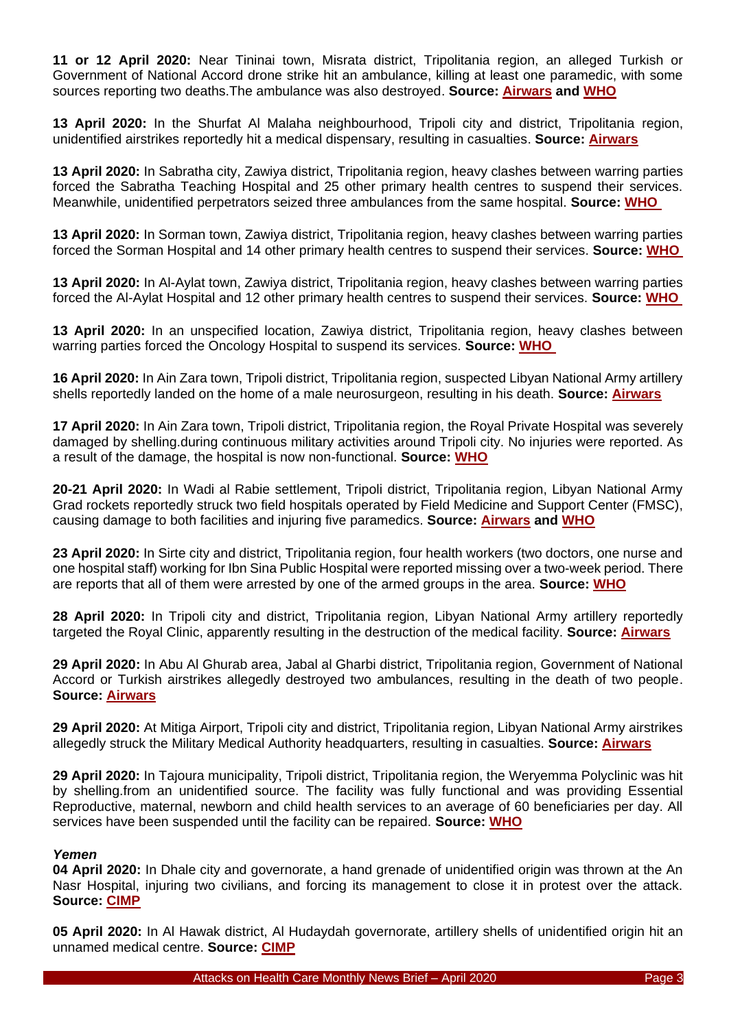**11 or 12 April 2020:** Near Tininai town, Misrata district, Tripolitania region, an alleged Turkish or Government of National Accord drone strike hit an ambulance, killing at least one paramedic, with some sources reporting two deaths.The ambulance was also destroyed. **Source: [Airwars](https://airwars.org/civilian-casualties/lc341-april-11-2020/) and [WHO](https://reliefweb.int/sites/reliefweb.int/files/resources/flash_update_ambulances_12_april_2020.pdf)**

**13 April 2020:** In the Shurfat Al Malaha neighbourhood, Tripoli city and district, Tripolitania region, unidentified airstrikes reportedly hit a medical dispensary, resulting in casualties. **Source: [Airwars](https://airwars.org/civilian-casualties/lc343-april-13-2020/)**

**13 April 2020:** In Sabratha city, Zawiya district, Tripolitania region, heavy clashes between warring parties forced the Sabratha Teaching Hospital and 25 other primary health centres to suspend their services. Meanwhile, unidentified perpetrators seized three ambulances from the same hospital. **Source: [WHO](https://reliefweb.int/report/libya/libya-health-sector-flash-update-monitoring-violence-against-healthcare-april-13-2020)**

**13 April 2020:** In Sorman town, Zawiya district, Tripolitania region, heavy clashes between warring parties forced the Sorman Hospital and 14 other primary health centres to suspend their services. **Source: [WHO](https://reliefweb.int/report/libya/libya-health-sector-flash-update-monitoring-violence-against-healthcare-april-13-2020)**

**13 April 2020:** In Al-Aylat town, Zawiya district, Tripolitania region, heavy clashes between warring parties forced the Al-Aylat Hospital and 12 other primary health centres to suspend their services. **Source: [WHO](https://reliefweb.int/report/libya/libya-health-sector-flash-update-monitoring-violence-against-healthcare-april-13-2020)**

**13 April 2020:** In an unspecified location, Zawiya district, Tripolitania region, heavy clashes between warring parties forced the Oncology Hospital to suspend its services. **Source: [WHO](https://reliefweb.int/report/libya/libya-health-sector-flash-update-monitoring-violence-against-healthcare-april-13-2020)**

**16 April 2020:** In Ain Zara town, Tripoli district, Tripolitania region, suspected Libyan National Army artillery shells reportedly landed on the home of a male neurosurgeon, resulting in his death. **Source: [Airwars](https://airwars.org/civilian-casualties/lc347-april-16-2020/)**

**17 April 2020:** In Ain Zara town, Tripoli district, Tripolitania region, the Royal Private Hospital was severely damaged by shelling.during continuous military activities around Tripoli city. No injuries were reported. As a result of the damage, the hospital is now non-functional. **Source: [WHO](https://reliefweb.int/sites/reliefweb.int/files/resources/flash_update_royal_private_hospital_17_april_2020.pdf)**

**20-21 April 2020:** In Wadi al Rabie settlement, Tripoli district, Tripolitania region, Libyan National Army Grad rockets reportedly struck two field hospitals operated by Field Medicine and Support Center (FMSC), causing damage to both facilities and injuring five paramedics. **Source: [Airwars](https://airwars.org/civilian-casualties/lc360-april-20-2020/) and [WHO](https://reliefweb.int/sites/reliefweb.int/files/resources/flash_update_wadi_al_rabie_fields_hospitals_21_april_2020.pdf)**

**23 April 2020:** In Sirte city and district, Tripolitania region, four health workers (two doctors, one nurse and one hospital staff) working for Ibn Sina Public Hospital were reported missing over a two-week period. There are reports that all of them were arrested by one of the armed groups in the area. **Source: [WHO](https://reliefweb.int/sites/reliefweb.int/files/resources/flash_update_ibn_sina_hospital_23_april_2020.pdf)**

**28 April 2020:** In Tripoli city and district, Tripolitania region, Libyan National Army artillery reportedly targeted the Royal Clinic, apparently resulting in the destruction of the medical facility. **Source: [Airwars](https://airwars.org/civilian-casualties/lc373-april-28-2020/)**

**29 April 2020:** In Abu Al Ghurab area, Jabal al Gharbi district, Tripolitania region, Government of National Accord or Turkish airstrikes allegedly destroyed two ambulances, resulting in the death of two people. **Source: [Airwars](https://airwars.org/civilian-casualties/lc375-april-29-2020/)**

**29 April 2020:** At Mitiga Airport, Tripoli city and district, Tripolitania region, Libyan National Army airstrikes allegedly struck the Military Medical Authority headquarters, resulting in casualties. **Source: [Airwars](https://airwars.org/civilian-casualties/lc374-april-29-2020/)**

**29 April 2020:** In Tajoura municipality, Tripoli district, Tripolitania region, the Weryemma Polyclinic was hit by shelling.from an unidentified source. The facility was fully functional and was providing Essential Reproductive, maternal, newborn and child health services to an average of 60 beneficiaries per day. All services have been suspended until the facility can be repaired. **Source: [WHO](https://reliefweb.int/sites/reliefweb.int/files/resources/flash_update_weryemma_polyclinic_tripoli_29_april.pdf)**

## *Yemen*

**04 April 2020:** In Dhale city and governorate, a hand grenade of unidentified origin was thrown at the An Nasr Hospital, injuring two civilians, and forcing its management to close it in protest over the attack. **Source: [CIMP](https://civilianimpactmonitoring.org/)**

**05 April 2020:** In Al Hawak district, Al Hudaydah governorate, artillery shells of unidentified origin hit an unnamed medical centre. **Source: [CIMP](https://civilianimpactmonitoring.org/)**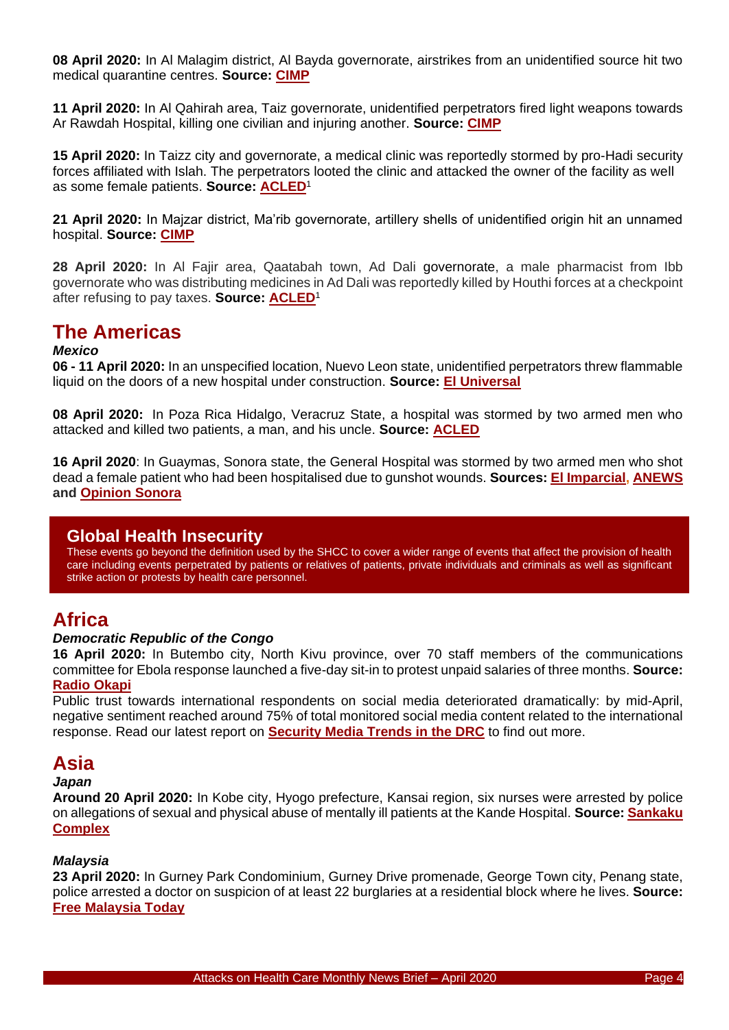**08 April 2020:** In Al Malagim district, Al Bayda governorate, airstrikes from an unidentified source hit two medical quarantine centres. **Source: [CIMP](https://civilianimpactmonitoring.org/)**

**11 April 2020:** In Al Qahirah area, Taiz governorate, unidentified perpetrators fired light weapons towards Ar Rawdah Hospital, killing one civilian and injuring another. **Source: [CIMP](https://civilianimpactmonitoring.org/)**

**15 April 2020:** In Taizz city and governorate, a medical clinic was reportedly stormed by pro-Hadi security forces affiliated with Islah. The perpetrators looted the clinic and attacked the owner of the facility as well as some female patients. **Source: [ACLED](https://acleddata.com/data-export-tool/)**<sup>1</sup>

**21 April 2020:** In Majzar district, Ma'rib governorate, artillery shells of unidentified origin hit an unnamed hospital. **Source: [CIMP](https://civilianimpactmonitoring.org/)**

**28 April 2020:** In Al Fajir area, Qaatabah town, Ad Dali governorate, a male pharmacist from Ibb governorate who was distributing medicines in Ad Dali was reportedly killed by Houthi forces at a checkpoint after refusing to pay taxes. **Source: [ACLED](https://www.acleddata.com/data/)**<sup>1</sup>

# **The Americas**

### *Mexico*

**06 - 11 April 2020:** In an unspecified location, Nuevo Leon state, unidentified perpetrators threw flammable liquid on the doors of a new hospital under construction. **Source: [El Universal](https://www.eluniversal.com.mx/english/covid-19-mexico-urges-end-fear-based-discrimination-against-healthcare-workers)**

**08 April 2020:** In Poza Rica Hidalgo, Veracruz State, a hospital was stormed by two armed men who attacked and killed two patients, a man, and his uncle. **Source: [ACLED](https://www.acleddata.com/data/)**

**16 April 2020**: In Guaymas, Sonora state, the General Hospital was stormed by two armed men who shot dead a female patient who had been hospitalised due to gunshot wounds. **Sources: [El Imparcial,](https://www.elimparcial.com/sonora/policiaca/Asesinan-a-mujer-herida-de-bala-en-el-Hospital-General-de-Guaymas-20200415-0001.html) [ANEWS](https://anews.mx/2020/04/16/asesinan-a-joven-durante-ataque-en-hospital-de-guaymas-sonora/) and [Opinion Sonora](https://opinionsonora.com/2020/04/15/consternacion-por-la-ejecucion-de-joven-mujer-en-el-hospital-general-de-guaymas/)**

## **Global Health Insecurity**

These events go beyond the definition used by the SHCC to cover a wider range of events that affect the provision of health care including events perpetrated by patients or relatives of patients, private individuals and criminals as well as significant strike action or protests by health care personnel.

# **Africa**

## *Democratic Republic of the Congo*

**16 April 2020:** In Butembo city, North Kivu province, over 70 staff members of the communications committee for Ebola response launched a five-day sit-in to protest unpaid salaries of three months. **Source: [Radio Okapi](https://www.radiookapi.net/2020/04/16/actualite/sante/ebola-les-agents-de-la-riposte-butembo-impayes-depuis-trois-mois)**

Public trust towards international respondents on social media deteriorated dramatically: by mid-April, negative sentiment reached around 75% of total monitored social media content related to the international response. Read our latest report on **[Security Media Trends in the DRC](https://bit.ly/3eYXGVS)** to find out more.

# **Asia**

#### *Japan*

**Around 20 April 2020:** In Kobe city, Hyogo prefecture, Kansai region, six nurses were arrested by police on allegations of sexual and physical abuse of mentally ill patients at the Kande Hospital. **Source: [Sankaku](https://www.sankakucomplex.com/2020/04/20/six-nurses-arrested-for-abusing-mentally-ill-patients/)  [Complex](https://www.sankakucomplex.com/2020/04/20/six-nurses-arrested-for-abusing-mentally-ill-patients/)**

## *Malaysia*

**23 April 2020:** In Gurney Park Condominium, Gurney Drive promenade, George Town city, Penang state, police arrested a doctor on suspicion of at least 22 burglaries at a residential block where he lives. **Source: [Free Malaysia Today](https://www.freemalaysiatoday.com/category/nation/2020/04/28/2-doctors-arrested-for-burglaries-in-penang/)**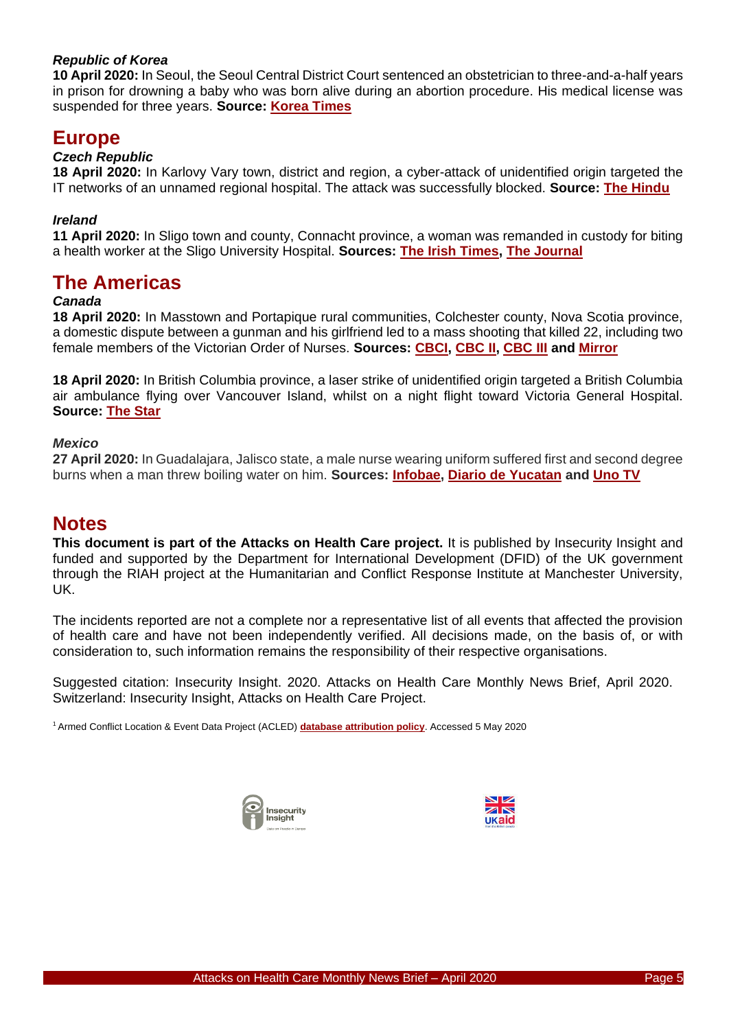## *Republic of Korea*

**10 April 2020:** In Seoul, the Seoul Central District Court sentenced an obstetrician to three-and-a-half years in prison for drowning a baby who was born alive during an abortion procedure. His medical license was suspended for three years. **Source: [Korea Times](https://www.koreatimes.co.kr/www/nation/2020/04/113_287707.html)**

## **Europe**

## *Czech Republic*

**18 April 2020:** In Karlovy Vary town, district and region, a cyber-attack of unidentified origin targeted the IT networks of an unnamed regional hospital. The attack was successfully blocked. **Source: [The Hindu](https://www.thehindu.com/news/international/czech-airport-hospital-targeted-in-cyberattacks/article31378587.ece)**

## *Ireland*

**11 April 2020:** In Sligo town and county, Connacht province, a woman was remanded in custody for biting a health worker at the Sligo University Hospital. **Sources: [The Irish Times,](https://www.irishtimes.com/news/crime-and-law/woman-accused-of-biting-doctor-at-sligo-hospital-is-remanded-in-custody-1.4227111) [The Journal](https://www.thejournal.ie/garda-health-worker-assaulted-sligo-5072656-Apr2020/)**

## **The Americas**

## *Canada*

**18 April 2020:** In Masstown and Portapique rural communities, Colchester county, Nova Scotia province, a domestic dispute between a gunman and his girlfriend led to a mass shooting that killed 22, including two female members of the Victorian Order of Nurses. **Sources: [CBCI,](https://www.cbc.ca/news/canada/nova-scotia/mass-killing-shooting-victims-remembered-1.5538032) [CBC II,](https://www.cbc.ca/news/canada/nova-scotia/teacher-killed-in-n-s-shooting-appreciated-the-wonder-of-life-1.5539585) [CBC III](https://www.cbc.ca/news/canada/nova-scotia/heather-o-brien-von-nurse-nova-scotia-mass-shooting-1.5540039) and [Mirror](https://www.mirror.co.uk/news/world-news/coronavirus-hero-nurse-killed-canadas-21912053)**

**18 April 2020:** In British Columbia province, a laser strike of unidentified origin targeted a British Columbia air ambulance flying over Vancouver Island, whilst on a night flight toward Victoria General Hospital. **Source: [The Star](https://www.thestar.com/news/canada/2020/04/22/bc-air-ambulance-targeted-by-laser-over-vancouver-island-transport-canada-says.html)**

#### *Mexico*

**27 April 2020:** In Guadalajara, Jalisco state, a male nurse wearing uniform suffered first and second degree burns when a man threw boiling water on him. **Sources: [Infobae,](https://www.infobae.com/america/mexico/2020/04/28/coronavirus-en-jalisco-agredieron-con-agua-caliente-a-un-enfermero/) [Diario de Yucatan](https://www.yucatan.com.mx/mexico/enfermero-agredido-en-guadalajara-le-tiran-agua-caliente) and [Uno TV](https://www.unotv.com/noticias/estados/jalisco/detalle/coronavirus-lanzan-agua-hirviendo-a-enfermero-de-guadalajara-jalisco-527213/)**

## **Notes**

**This document is part of the Attacks on Health Care project.** It is published by Insecurity Insight and funded and supported by the Department for International Development (DFID) of the UK government through the RIAH project at the Humanitarian and Conflict Response Institute at Manchester University, UK.

The incidents reported are not a complete nor a representative list of all events that affected the provision of health care and have not been independently verified. All decisions made, on the basis of, or with consideration to, such information remains the responsibility of their respective organisations.

Suggested citation: Insecurity Insight. 2020. Attacks on Health Care Monthly News Brief, April 2020. Switzerland: Insecurity Insight, Attacks on Health Care Project.

<sup>1</sup>Armed Conflict Location & Event Data Project (ACLED) **[database attribution policy](https://www.acleddata.com/wp-content/uploads/dlm_uploads/2018/12/TermsofUse_AttributionPolicy_Final_12.10.2018.pdf)**. Accessed 5 May 2020